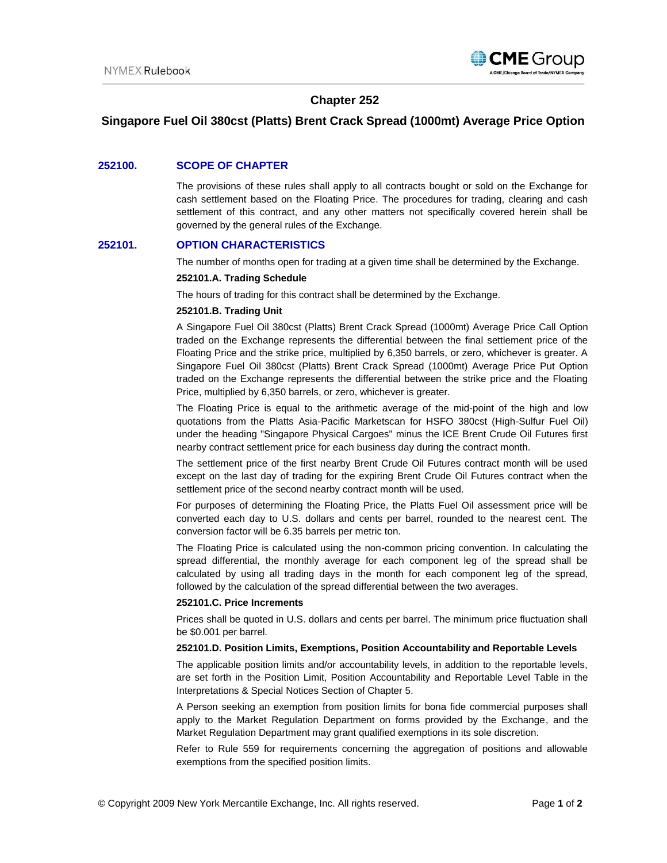

# **Chapter 252**

# **Singapore Fuel Oil 380cst (Platts) Brent Crack Spread (1000mt) Average Price Option**

### **252100. SCOPE OF CHAPTER**

The provisions of these rules shall apply to all contracts bought or sold on the Exchange for cash settlement based on the Floating Price. The procedures for trading, clearing and cash settlement of this contract, and any other matters not specifically covered herein shall be governed by the general rules of the Exchange.

### **252101. OPTION CHARACTERISTICS**

The number of months open for trading at a given time shall be determined by the Exchange.

#### **252101.A. Trading Schedule**

The hours of trading for this contract shall be determined by the Exchange.

#### **252101.B. Trading Unit**

A Singapore Fuel Oil 380cst (Platts) Brent Crack Spread (1000mt) Average Price Call Option traded on the Exchange represents the differential between the final settlement price of the Floating Price and the strike price, multiplied by 6,350 barrels, or zero, whichever is greater. A Singapore Fuel Oil 380cst (Platts) Brent Crack Spread (1000mt) Average Price Put Option traded on the Exchange represents the differential between the strike price and the Floating Price, multiplied by 6,350 barrels, or zero, whichever is greater.

The Floating Price is equal to the arithmetic average of the mid-point of the high and low quotations from the Platts Asia-Pacific Marketscan for HSFO 380cst (High-Sulfur Fuel Oil) under the heading "Singapore Physical Cargoes" minus the ICE Brent Crude Oil Futures first nearby contract settlement price for each business day during the contract month.

The settlement price of the first nearby Brent Crude Oil Futures contract month will be used except on the last day of trading for the expiring Brent Crude Oil Futures contract when the settlement price of the second nearby contract month will be used.

For purposes of determining the Floating Price, the Platts Fuel Oil assessment price will be converted each day to U.S. dollars and cents per barrel, rounded to the nearest cent. The conversion factor will be 6.35 barrels per metric ton.

The Floating Price is calculated using the non-common pricing convention. In calculating the spread differential, the monthly average for each component leg of the spread shall be calculated by using all trading days in the month for each component leg of the spread, followed by the calculation of the spread differential between the two averages.

#### **252101.C. Price Increments**

Prices shall be quoted in U.S. dollars and cents per barrel. The minimum price fluctuation shall be \$0.001 per barrel.

#### **252101.D. Position Limits, Exemptions, Position Accountability and Reportable Levels**

The applicable position limits and/or accountability levels, in addition to the reportable levels, are set forth in the Position Limit, Position Accountability and Reportable Level Table in the Interpretations & Special Notices Section of Chapter 5.

A Person seeking an exemption from position limits for bona fide commercial purposes shall apply to the Market Regulation Department on forms provided by the Exchange, and the Market Regulation Department may grant qualified exemptions in its sole discretion.

Refer to Rule 559 for requirements concerning the aggregation of positions and allowable exemptions from the specified position limits.